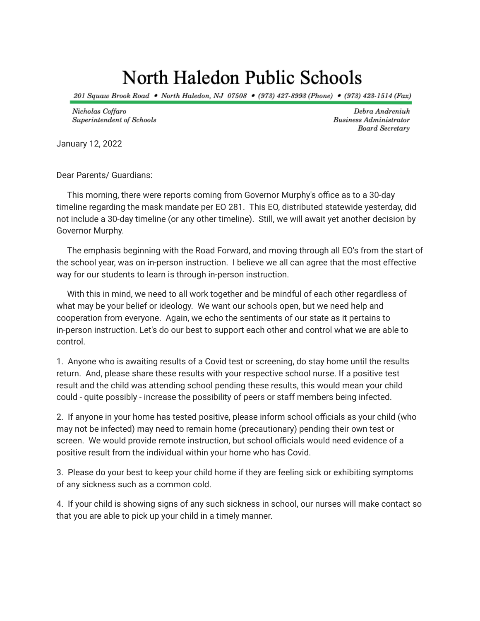## North Haledon Public Schools

201 Squaw Brook Road • North Haledon, NJ 07508 • (973) 427-8993 (Phone) • (973) 423-1514 (Fax)

Nicholas Coffaro Superintendent of Schools

Debra Andreniuk **Business Administrator Board Secretary** 

January 12, 2022

Dear Parents/ Guardians:

This morning, there were reports coming from Governor Murphy's office as to a 30-day timeline regarding the mask mandate per EO 281. This EO, distributed statewide yesterday, did not include a 30-day timeline (or any other timeline). Still, we will await yet another decision by Governor Murphy.

The emphasis beginning with the Road Forward, and moving through all EO's from the start of the school year, was on in-person instruction. I believe we all can agree that the most effective way for our students to learn is through in-person instruction.

With this in mind, we need to all work together and be mindful of each other regardless of what may be your belief or ideology. We want our schools open, but we need help and cooperation from everyone. Again, we echo the sentiments of our state as it pertains to in-person instruction. Let's do our best to support each other and control what we are able to control.

1. Anyone who is awaiting results of a Covid test or screening, do stay home until the results return. And, please share these results with your respective school nurse. If a positive test result and the child was attending school pending these results, this would mean your child could - quite possibly - increase the possibility of peers or staff members being infected.

2. If anyone in your home has tested positive, please inform school officials as your child (who may not be infected) may need to remain home (precautionary) pending their own test or screen. We would provide remote instruction, but school officials would need evidence of a positive result from the individual within your home who has Covid.

3. Please do your best to keep your child home if they are feeling sick or exhibiting symptoms of any sickness such as a common cold.

4. If your child is showing signs of any such sickness in school, our nurses will make contact so that you are able to pick up your child in a timely manner.